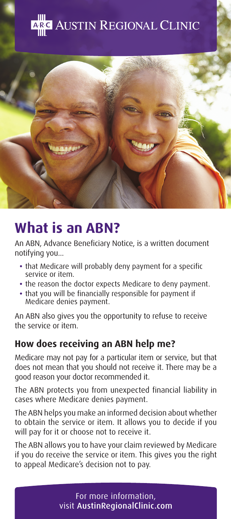



# **What is an ABN?**

An ABN, Advance Beneficiary Notice, is a written document notifying you...

- **•** that Medicare will probably deny payment for a specific service or item.
- **•** the reason the doctor expects Medicare to deny payment.
- **•** that you will be financially responsible for payment if Medicare denies payment.

An ABN also gives you the opportunity to refuse to receive the service or item.

## **How does receiving an ABN help me?**

Medicare may not pay for a particular item or service, but that does not mean that you should not receive it. There may be a good reason your doctor recommended it.

The ABN protects you from unexpected financial liability in cases where Medicare denies payment.

The ABN helps you make an informed decision about whether to obtain the service or item. It allows you to decide if you will pay for it or choose not to receive it.

The ABN allows you to have your claim reviewed by Medicare if you do receive the service or item. This gives you the right to appeal Medicare's decision not to pay.

> For more information, visit AustinRegionalClinic.com